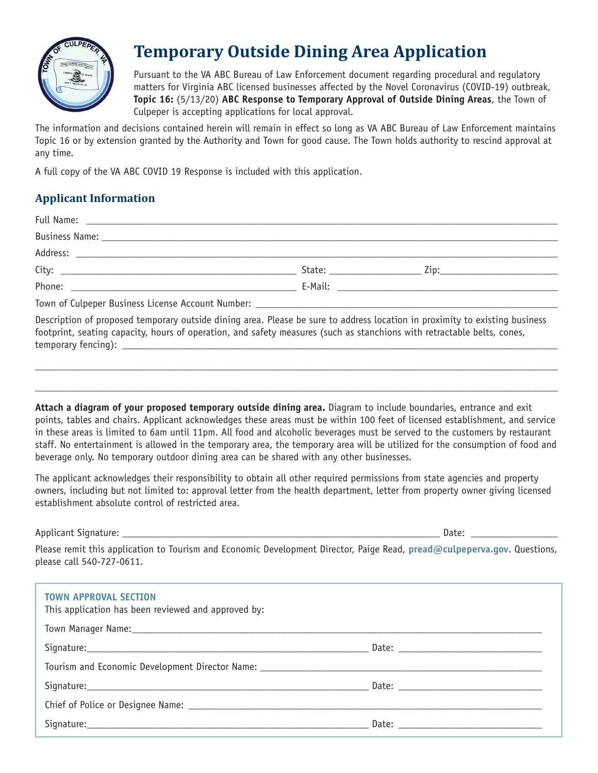

# **Temporary Outside Dining Area Application**

Pursuant to the VA ABC Bureau of Law Enforcement document regarding procedural and regulatory matters for Virginia ABC licensed businesses affected by the Novel Coronavirus (COVID-19) outbreak, **Topic 16:** (5/13/20) **ABC Response to Temporary Approval of Outside Dining Areas**, the Town of Culpeper is accepting applications for local approval.

The information and decisions contained herein will remain in effect so long as VA ABC Bureau of Law Enforcement maintains Topic 16 or by extension granted by the Authority and Town for good cause. The Town holds authority to rescind approval at any time.

A full copy of the VA ABC COVID 19 Response is included with this application.

## **Applicant Information**

| Description of proposed temporary outside dining area. Please be sure to address location in proximity to existing business<br>footprint, seating capacity, hours of operation, and safety measures (such as stanchions with retractable belts, cones, |  |  |
|--------------------------------------------------------------------------------------------------------------------------------------------------------------------------------------------------------------------------------------------------------|--|--|

**Attach a diagram of your proposed temporary outside dining area.** Diagram to include boundaries, entrance and exit points, tables and chairs. Applicant acknowledges these areas must be within 100 feet of licensed establishment, and service in these areas is limited to 6am until 11pm. All food and alcoholic beverages must be served to the customers by restaurant staff. No entertainment is allowed in the temporary area, the temporary area will be utilized for the consumption of food and beverage only. No temporary outdoor dining area can be shared with any other businesses.

\_\_\_\_\_\_\_\_\_\_\_\_\_\_\_\_\_\_\_\_\_\_\_\_\_\_\_\_\_\_\_\_\_\_\_\_\_\_\_\_\_\_\_\_\_\_\_\_\_\_\_\_\_\_\_\_\_\_\_\_\_\_\_\_\_\_\_\_\_\_\_\_\_\_\_\_\_\_\_\_\_\_\_\_\_\_\_\_\_\_\_\_\_\_\_\_\_\_\_\_\_\_

\_\_\_\_\_\_\_\_\_\_\_\_\_\_\_\_\_\_\_\_\_\_\_\_\_\_\_\_\_\_\_\_\_\_\_\_\_\_\_\_\_\_\_\_\_\_\_\_\_\_\_\_\_\_\_\_\_\_\_\_\_\_\_\_\_\_\_\_\_\_\_\_\_\_\_\_\_\_\_\_\_\_\_\_\_\_\_\_\_\_\_\_\_\_\_\_\_\_\_\_\_\_

The applicant acknowledges their responsibility to obtain all other required permissions from state agencies and property owners, including but not limited to: approval letter from the health department, letter from property owner giving licensed establishment absolute control of restricted area.

Applicant Signature: \_\_\_\_\_\_\_\_\_\_\_\_\_\_\_\_\_\_\_\_\_\_\_\_\_\_\_\_\_\_\_\_\_\_\_\_\_\_\_\_\_\_\_\_\_\_\_\_\_\_\_\_\_\_\_\_\_\_\_\_\_\_ Date: \_\_\_\_\_\_\_\_\_\_\_\_\_\_\_\_\_

temporary fencing):

Please remit this application to Tourism and Economic Development Director, Paige Read, **[pread@culpeperva.gov](mailto:pread%40culpeperva.gov?subject=Temporary%20Outside%20Dining%20Area%20Application)**. Questions, please call 540-727-0611.

| <b>TOWN APPROVAL SECTION</b><br>This application has been reviewed and approved by:                            |  |
|----------------------------------------------------------------------------------------------------------------|--|
| Town Manager Name: 1988 Manual Manager Name: 1988 Manual Manager Name: 1988 Manual Manager Name: 1988 Manual M |  |
|                                                                                                                |  |
|                                                                                                                |  |
|                                                                                                                |  |
|                                                                                                                |  |
|                                                                                                                |  |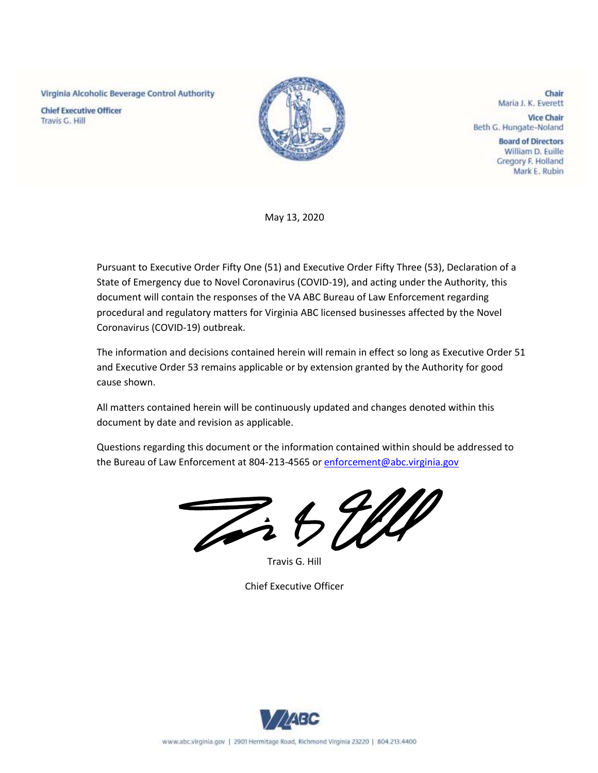Virginia Alcoholic Beverage Control Authority

**Chief Executive Officer** Travis G. Hill



Chair Maria J. K. Everett

**Vice Chair** Beth G. Hungate-Noland

> **Board of Directors** William D. Euille Gregory F. Holland Mark E. Rubin

May 13, 2020

Pursuant to Executive Order Fifty One (51) and Executive Order Fifty Three (53), Declaration of a State of Emergency due to Novel Coronavirus (COVID-19), and acting under the Authority, this document will contain the responses of the VA ABC Bureau of Law Enforcement regarding procedural and regulatory matters for Virginia ABC licensed businesses affected by the Novel Coronavirus (COVID-19) outbreak.

The information and decisions contained herein will remain in effect so long as Executive Order 51 and Executive Order 53 remains applicable or by extension granted by the Authority for good cause shown.

All matters contained herein will be continuously updated and changes denoted within this document by date and revision as applicable.

Questions regarding this document or the information contained within should be addressed to the Bureau of Law Enforcement at 804-213-4565 or [enforcement@abc.virginia.gov](mailto:enforcement@abc.virginia.gov)

Zi 5 WW

Travis G. Hill

Chief Executive Officer

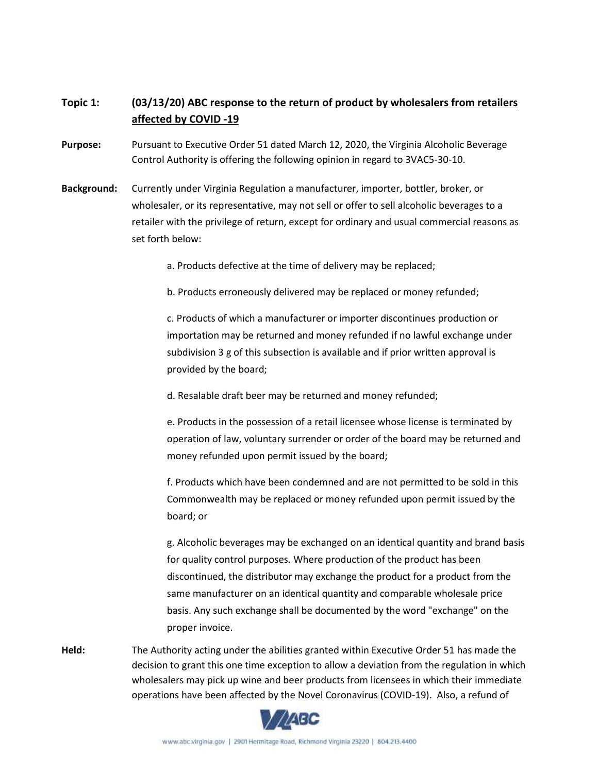## **Topic 1: (03/13/20) ABC response to the return of product by wholesalers from retailers affected by COVID -19**

- **Purpose:** Pursuant to Executive Order 51 dated March 12, 2020, the Virginia Alcoholic Beverage Control Authority is offering the following opinion in regard to 3VAC5-30-10.
- **Background:** Currently under Virginia Regulation a manufacturer, importer, bottler, broker, or wholesaler, or its representative, may not sell or offer to sell alcoholic beverages to a retailer with the privilege of return, except for ordinary and usual commercial reasons as set forth below:

a. Products defective at the time of delivery may be replaced;

b. Products erroneously delivered may be replaced or money refunded;

c. Products of which a manufacturer or importer discontinues production or importation may be returned and money refunded if no lawful exchange under subdivision 3 g of this subsection is available and if prior written approval is provided by the board;

d. Resalable draft beer may be returned and money refunded;

e. Products in the possession of a retail licensee whose license is terminated by operation of law, voluntary surrender or order of the board may be returned and money refunded upon permit issued by the board;

f. Products which have been condemned and are not permitted to be sold in this Commonwealth may be replaced or money refunded upon permit issued by the board; or

g. Alcoholic beverages may be exchanged on an identical quantity and brand basis for quality control purposes. Where production of the product has been discontinued, the distributor may exchange the product for a product from the same manufacturer on an identical quantity and comparable wholesale price basis. Any such exchange shall be documented by the word "exchange" on the proper invoice.

**Held:** The Authority acting under the abilities granted within Executive Order 51 has made the decision to grant this one time exception to allow a deviation from the regulation in which wholesalers may pick up wine and beer products from licensees in which their immediate operations have been affected by the Novel Coronavirus (COVID-19). Also, a refund of

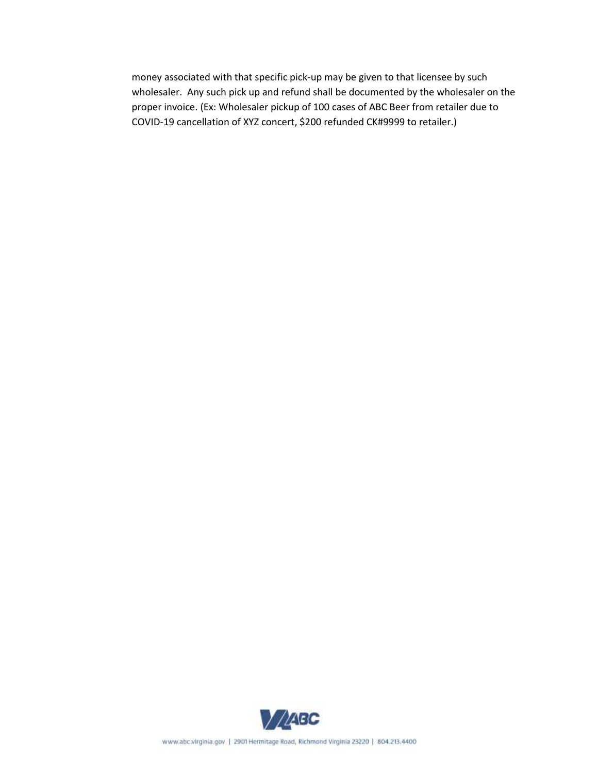money associated with that specific pick-up may be given to that licensee by such wholesaler. Any such pick up and refund shall be documented by the wholesaler on the proper invoice. (Ex: Wholesaler pickup of 100 cases of ABC Beer from retailer due to COVID-19 cancellation of XYZ concert, \$200 refunded CK#9999 to retailer.)

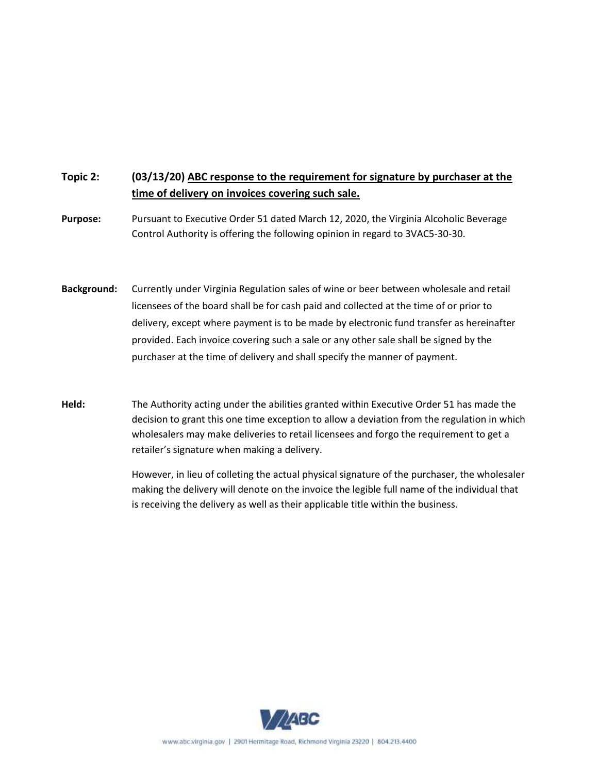## **Topic 2: (03/13/20) ABC response to the requirement for signature by purchaser at the time of delivery on invoices covering such sale.**

**Purpose:** Pursuant to Executive Order 51 dated March 12, 2020, the Virginia Alcoholic Beverage Control Authority is offering the following opinion in regard to 3VAC5-30-30.

**Background:** Currently under Virginia Regulation sales of wine or beer between wholesale and retail licensees of the board shall be for cash paid and collected at the time of or prior to delivery, except where payment is to be made by electronic fund transfer as hereinafter provided. Each invoice covering such a sale or any other sale shall be signed by the purchaser at the time of delivery and shall specify the manner of payment.

**Held:** The Authority acting under the abilities granted within Executive Order 51 has made the decision to grant this one time exception to allow a deviation from the regulation in which wholesalers may make deliveries to retail licensees and forgo the requirement to get a retailer's signature when making a delivery.

> However, in lieu of colleting the actual physical signature of the purchaser, the wholesaler making the delivery will denote on the invoice the legible full name of the individual that is receiving the delivery as well as their applicable title within the business.

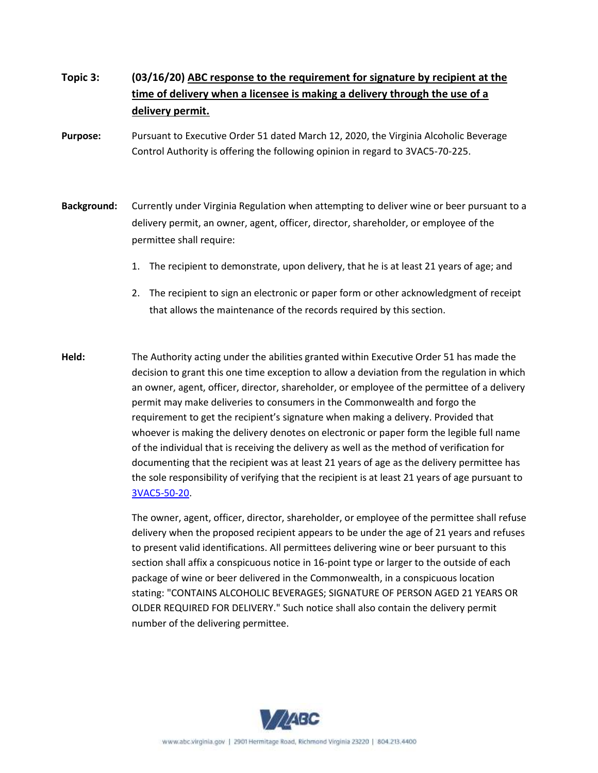# **Topic 3: (03/16/20) ABC response to the requirement for signature by recipient at the time of delivery when a licensee is making a delivery through the use of a delivery permit.**

- **Purpose:** Pursuant to Executive Order 51 dated March 12, 2020, the Virginia Alcoholic Beverage Control Authority is offering the following opinion in regard to 3VAC5-70-225.
- **Background:** Currently under Virginia Regulation when attempting to deliver wine or beer pursuant to a delivery permit, an owner, agent, officer, director, shareholder, or employee of the permittee shall require:
	- 1. The recipient to demonstrate, upon delivery, that he is at least 21 years of age; and
	- 2. The recipient to sign an electronic or paper form or other acknowledgment of receipt that allows the maintenance of the records required by this section.
- **Held:** The Authority acting under the abilities granted within Executive Order 51 has made the decision to grant this one time exception to allow a deviation from the regulation in which an owner, agent, officer, director, shareholder, or employee of the permittee of a delivery permit may make deliveries to consumers in the Commonwealth and forgo the requirement to get the recipient's signature when making a delivery. Provided that whoever is making the delivery denotes on electronic or paper form the legible full name of the individual that is receiving the delivery as well as the method of verification for documenting that the recipient was at least 21 years of age as the delivery permittee has the sole responsibility of verifying that the recipient is at least 21 years of age pursuant to [3VAC5-50-20.](https://law.lis.virginia.gov/admincode/title3/agency5/chapter50/section20/)

The owner, agent, officer, director, shareholder, or employee of the permittee shall refuse delivery when the proposed recipient appears to be under the age of 21 years and refuses to present valid identifications. All permittees delivering wine or beer pursuant to this section shall affix a conspicuous notice in 16-point type or larger to the outside of each package of wine or beer delivered in the Commonwealth, in a conspicuous location stating: "CONTAINS ALCOHOLIC BEVERAGES; SIGNATURE OF PERSON AGED 21 YEARS OR OLDER REQUIRED FOR DELIVERY." Such notice shall also contain the delivery permit number of the delivering permittee.

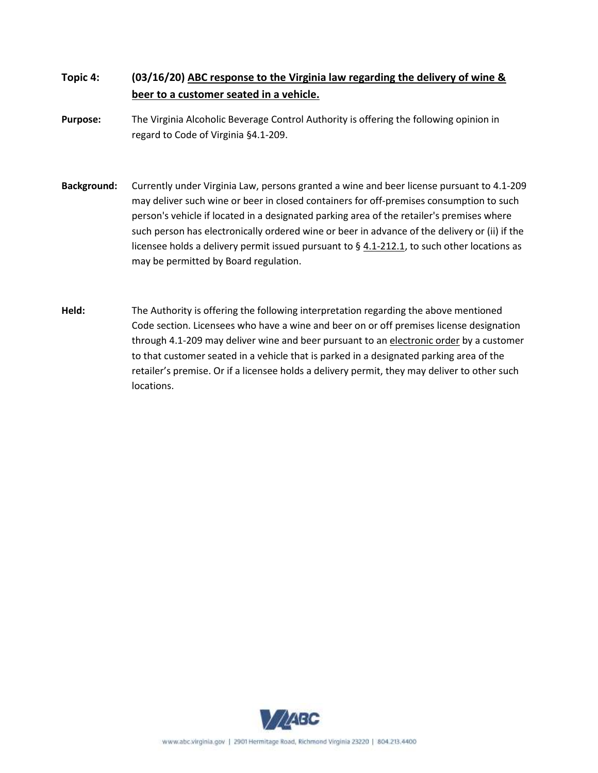- **Topic 4: (03/16/20) ABC response to the Virginia law regarding the delivery of wine & beer to a customer seated in a vehicle.**
- **Purpose:** The Virginia Alcoholic Beverage Control Authority is offering the following opinion in regard to Code of Virginia §4.1-209.
- **Background:** Currently under Virginia Law, persons granted a wine and beer license pursuant to 4.1-209 may deliver such wine or beer in closed containers for off-premises consumption to such person's vehicle if located in a designated parking area of the retailer's premises where such person has electronically ordered wine or beer in advance of the delivery or (ii) if the licensee holds a delivery permit issued pursuant to § [4.1-212.1,](http://law.lis.virginia.gov/vacode/4.1-212.1/) to such other locations as may be permitted by Board regulation.
- **Held:** The Authority is offering the following interpretation regarding the above mentioned Code section. Licensees who have a wine and beer on or off premises license designation through 4.1-209 may deliver wine and beer pursuant to an electronic order by a customer to that customer seated in a vehicle that is parked in a designated parking area of the retailer's premise. Or if a licensee holds a delivery permit, they may deliver to other such locations.

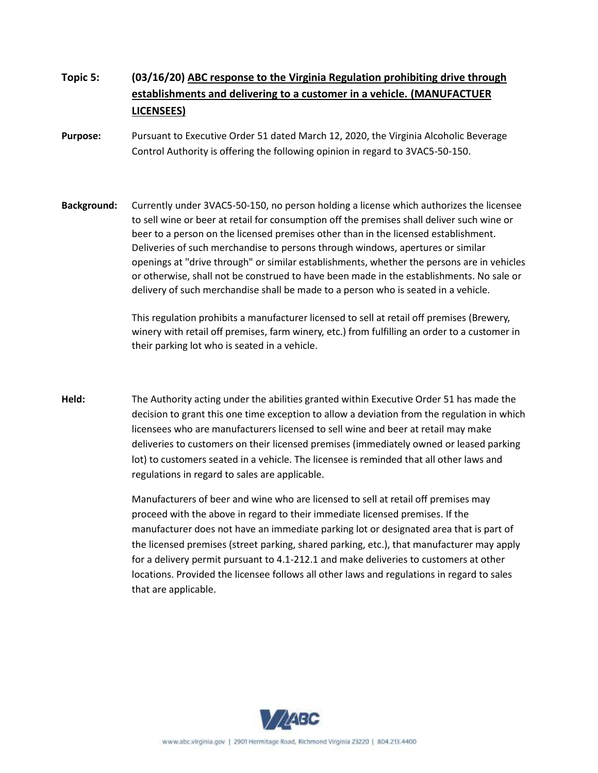- **Topic 5: (03/16/20) ABC response to the Virginia Regulation prohibiting drive through establishments and delivering to a customer in a vehicle. (MANUFACTUER LICENSEES)**
- **Purpose:** Pursuant to Executive Order 51 dated March 12, 2020, the Virginia Alcoholic Beverage Control Authority is offering the following opinion in regard to 3VAC5-50-150.
- **Background:** Currently under 3VAC5-50-150, no person holding a license which authorizes the licensee to sell wine or beer at retail for consumption off the premises shall deliver such wine or beer to a person on the licensed premises other than in the licensed establishment. Deliveries of such merchandise to persons through windows, apertures or similar openings at "drive through" or similar establishments, whether the persons are in vehicles or otherwise, shall not be construed to have been made in the establishments. No sale or delivery of such merchandise shall be made to a person who is seated in a vehicle.

This regulation prohibits a manufacturer licensed to sell at retail off premises (Brewery, winery with retail off premises, farm winery, etc.) from fulfilling an order to a customer in their parking lot who is seated in a vehicle.

**Held:** The Authority acting under the abilities granted within Executive Order 51 has made the decision to grant this one time exception to allow a deviation from the regulation in which licensees who are manufacturers licensed to sell wine and beer at retail may make deliveries to customers on their licensed premises (immediately owned or leased parking lot) to customers seated in a vehicle. The licensee is reminded that all other laws and regulations in regard to sales are applicable.

> Manufacturers of beer and wine who are licensed to sell at retail off premises may proceed with the above in regard to their immediate licensed premises. If the manufacturer does not have an immediate parking lot or designated area that is part of the licensed premises (street parking, shared parking, etc.), that manufacturer may apply for a delivery permit pursuant to 4.1-212.1 and make deliveries to customers at other locations. Provided the licensee follows all other laws and regulations in regard to sales that are applicable.

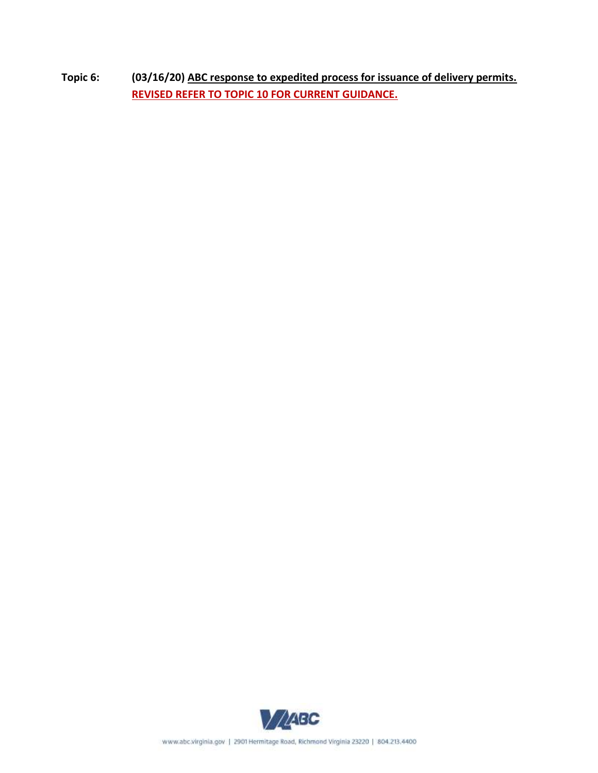**Topic 6: (03/16/20) ABC response to expedited process for issuance of delivery permits. REVISED REFER TO TOPIC 10 FOR CURRENT GUIDANCE.**

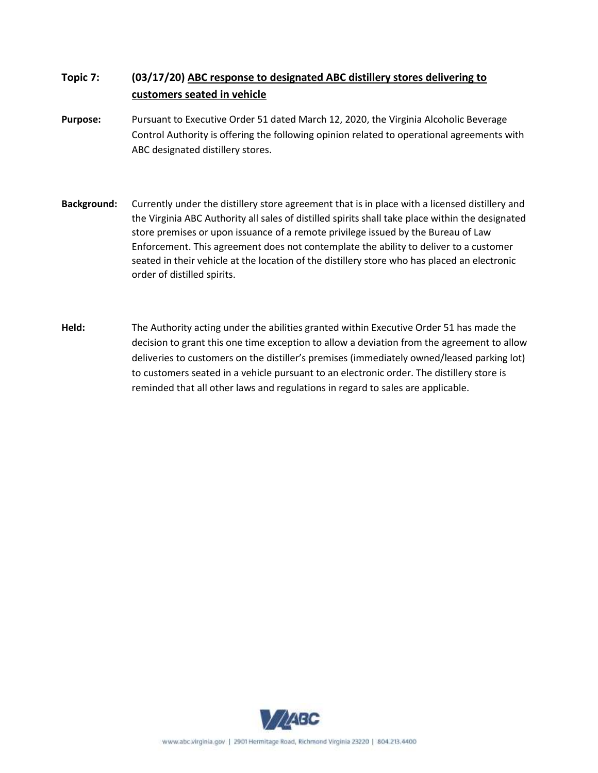## **Topic 7: (03/17/20) ABC response to designated ABC distillery stores delivering to customers seated in vehicle**

- **Purpose:** Pursuant to Executive Order 51 dated March 12, 2020, the Virginia Alcoholic Beverage Control Authority is offering the following opinion related to operational agreements with ABC designated distillery stores.
- **Background:** Currently under the distillery store agreement that is in place with a licensed distillery and the Virginia ABC Authority all sales of distilled spirits shall take place within the designated store premises or upon issuance of a remote privilege issued by the Bureau of Law Enforcement. This agreement does not contemplate the ability to deliver to a customer seated in their vehicle at the location of the distillery store who has placed an electronic order of distilled spirits.
- **Held:** The Authority acting under the abilities granted within Executive Order 51 has made the decision to grant this one time exception to allow a deviation from the agreement to allow deliveries to customers on the distiller's premises (immediately owned/leased parking lot) to customers seated in a vehicle pursuant to an electronic order. The distillery store is reminded that all other laws and regulations in regard to sales are applicable.

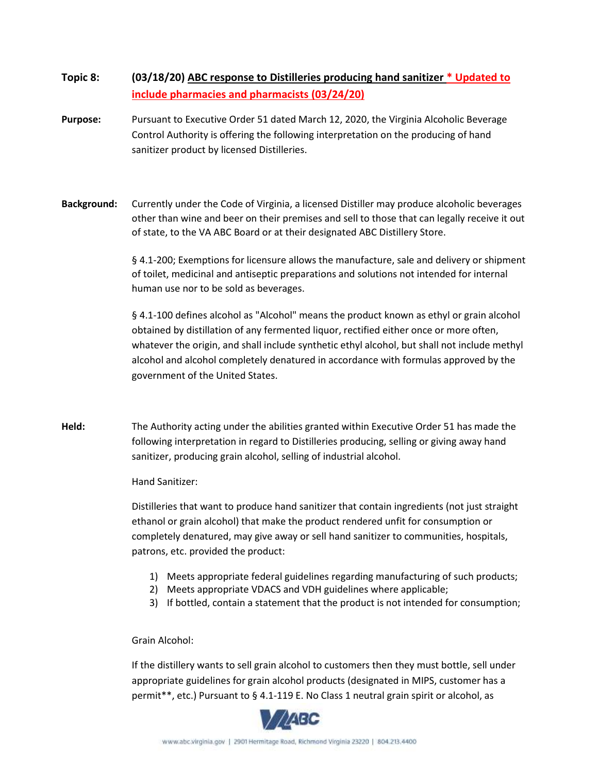#### **Topic 8: (03/18/20) ABC response to Distilleries producing hand sanitizer \* Updated to include pharmacies and pharmacists (03/24/20)**

- **Purpose:** Pursuant to Executive Order 51 dated March 12, 2020, the Virginia Alcoholic Beverage Control Authority is offering the following interpretation on the producing of hand sanitizer product by licensed Distilleries.
- **Background:** Currently under the Code of Virginia, a licensed Distiller may produce alcoholic beverages other than wine and beer on their premises and sell to those that can legally receive it out of state, to the VA ABC Board or at their designated ABC Distillery Store.

§ 4.1-200; Exemptions for licensure allows the manufacture, sale and delivery or shipment of toilet, medicinal and antiseptic preparations and solutions not intended for internal human use nor to be sold as beverages.

§ 4.1-100 defines alcohol as "Alcohol" means the product known as ethyl or grain alcohol obtained by distillation of any fermented liquor, rectified either once or more often, whatever the origin, and shall include synthetic ethyl alcohol, but shall not include methyl alcohol and alcohol completely denatured in accordance with formulas approved by the government of the United States.

**Held:** The Authority acting under the abilities granted within Executive Order 51 has made the following interpretation in regard to Distilleries producing, selling or giving away hand sanitizer, producing grain alcohol, selling of industrial alcohol.

#### Hand Sanitizer:

Distilleries that want to produce hand sanitizer that contain ingredients (not just straight ethanol or grain alcohol) that make the product rendered unfit for consumption or completely denatured, may give away or sell hand sanitizer to communities, hospitals, patrons, etc. provided the product:

- 1) Meets appropriate federal guidelines regarding manufacturing of such products;
- 2) Meets appropriate VDACS and VDH guidelines where applicable;
- 3) If bottled, contain a statement that the product is not intended for consumption;

#### Grain Alcohol:

If the distillery wants to sell grain alcohol to customers then they must bottle, sell under appropriate guidelines for grain alcohol products (designated in MIPS, customer has a permit\*\*, etc.) Pursuant to § 4.1-119 E. No Class 1 neutral grain spirit or alcohol, as

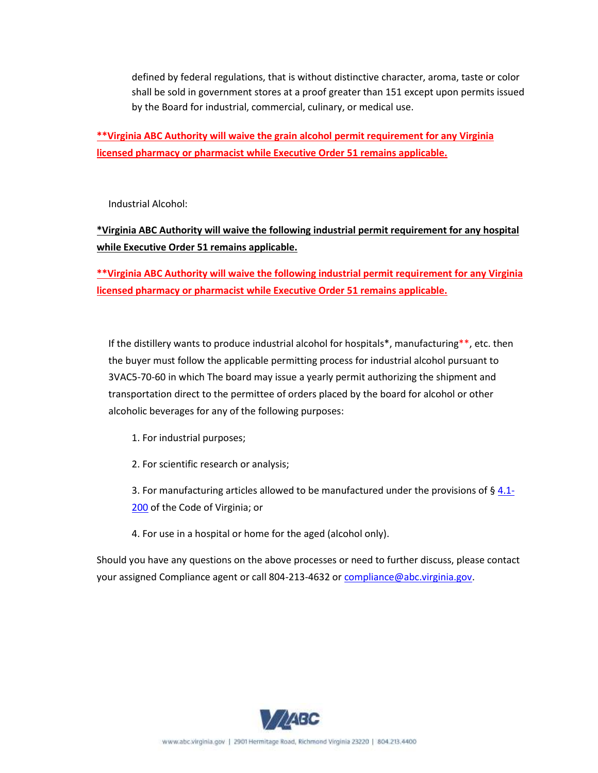defined by federal regulations, that is without distinctive character, aroma, taste or color shall be sold in government stores at a proof greater than 151 except upon permits issued by the Board for industrial, commercial, culinary, or medical use.

**\*\*Virginia ABC Authority will waive the grain alcohol permit requirement for any Virginia licensed pharmacy or pharmacist while Executive Order 51 remains applicable.** 

Industrial Alcohol:

## **\*Virginia ABC Authority will waive the following industrial permit requirement for any hospital while Executive Order 51 remains applicable.**

**\*\*Virginia ABC Authority will waive the following industrial permit requirement for any Virginia licensed pharmacy or pharmacist while Executive Order 51 remains applicable.** 

If the distillery wants to produce industrial alcohol for hospitals\*, manufacturing\*\*, etc. then the buyer must follow the applicable permitting process for industrial alcohol pursuant to 3VAC5-70-60 in which The board may issue a yearly permit authorizing the shipment and transportation direct to the permittee of orders placed by the board for alcohol or other alcoholic beverages for any of the following purposes:

- 1. For industrial purposes;
- 2. For scientific research or analysis;

3. For manufacturing articles allowed to be manufactured under the provisions of  $\S$  4.1-[200](https://law.lis.virginia.gov/vacode/4.1-200/) of the Code of Virginia; or

4. For use in a hospital or home for the aged (alcohol only).

Should you have any questions on the above processes or need to further discuss, please contact your assigned Compliance agent or call 804-213-4632 o[r compliance@abc.virginia.gov.](mailto:compliance@abc.virginia.gov)

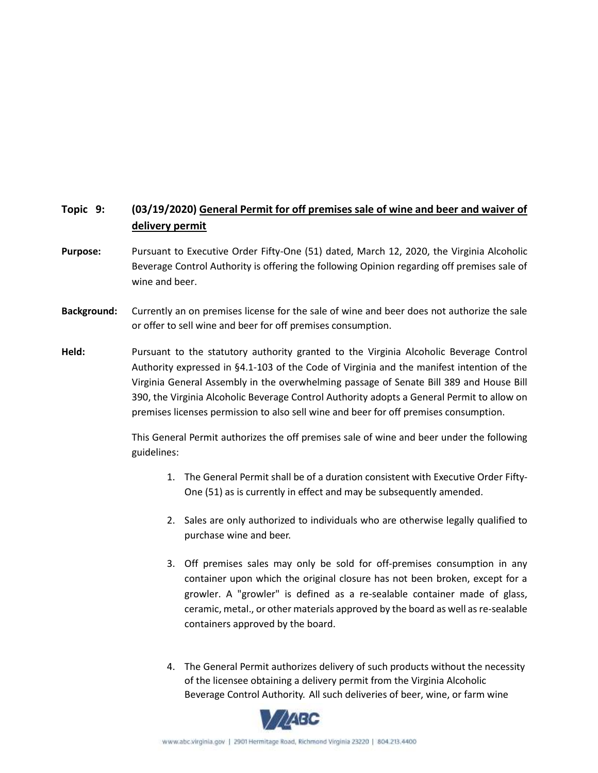## **Topic 9: (03/19/2020) General Permit for off premises sale of wine and beer and waiver of delivery permit**

- **Purpose:** Pursuant to Executive Order Fifty-One (51) dated, March 12, 2020, the Virginia Alcoholic Beverage Control Authority is offering the following Opinion regarding off premises sale of wine and beer.
- **Background:** Currently an on premises license for the sale of wine and beer does not authorize the sale or offer to sell wine and beer for off premises consumption.
- **Held:** Pursuant to the statutory authority granted to the Virginia Alcoholic Beverage Control Authority expressed in §4.1-103 of the Code of Virginia and the manifest intention of the Virginia General Assembly in the overwhelming passage of Senate Bill 389 and House Bill 390, the Virginia Alcoholic Beverage Control Authority adopts a General Permit to allow on premises licenses permission to also sell wine and beer for off premises consumption.

This General Permit authorizes the off premises sale of wine and beer under the following guidelines:

- 1. The General Permit shall be of a duration consistent with Executive Order Fifty-One (51) as is currently in effect and may be subsequently amended.
- 2. Sales are only authorized to individuals who are otherwise legally qualified to purchase wine and beer.
- 3. Off premises sales may only be sold for off-premises consumption in any container upon which the original closure has not been broken, except for a growler. A "growler" is defined as a re-sealable container made of glass, ceramic, metal., or other materials approved by the board as well as re-sealable containers approved by the board.
- 4. The General Permit authorizes delivery of such products without the necessity of the licensee obtaining a delivery permit from the Virginia Alcoholic Beverage Control Authority. All such deliveries of beer, wine, or farm wine

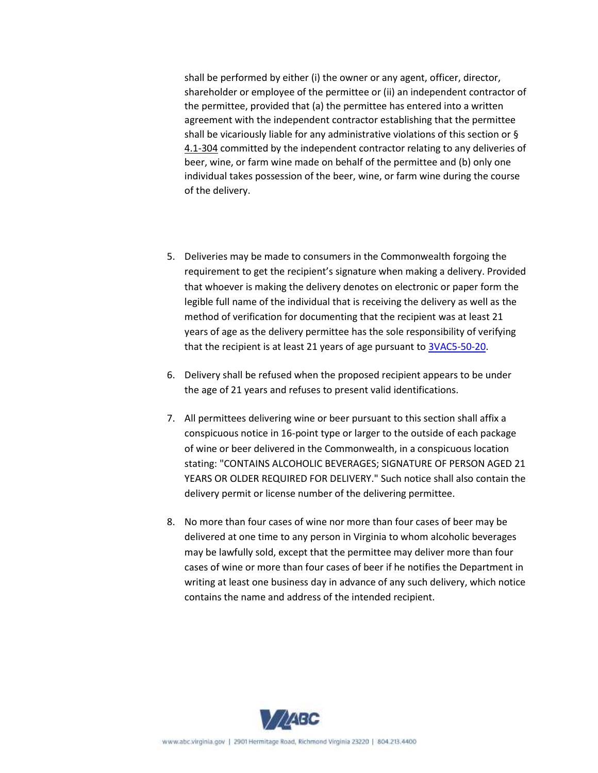shall be performed by either (i) the owner or any agent, officer, director, shareholder or employee of the permittee or (ii) an independent contractor of the permittee, provided that (a) the permittee has entered into a written agreement with the independent contractor establishing that the permittee shall be vicariously liable for any administrative violations of this section or § [4.1-304](https://law.lis.virginia.gov/vacode/4.1-304/) committed by the independent contractor relating to any deliveries of beer, wine, or farm wine made on behalf of the permittee and (b) only one individual takes possession of the beer, wine, or farm wine during the course of the delivery.

- 5. Deliveries may be made to consumers in the Commonwealth forgoing the requirement to get the recipient's signature when making a delivery. Provided that whoever is making the delivery denotes on electronic or paper form the legible full name of the individual that is receiving the delivery as well as the method of verification for documenting that the recipient was at least 21 years of age as the delivery permittee has the sole responsibility of verifying that the recipient is at least 21 years of age pursuant t[o 3VAC5-50-20.](https://law.lis.virginia.gov/admincode/title3/agency5/chapter50/section20/)
- 6. Delivery shall be refused when the proposed recipient appears to be under the age of 21 years and refuses to present valid identifications.
- 7. All permittees delivering wine or beer pursuant to this section shall affix a conspicuous notice in 16-point type or larger to the outside of each package of wine or beer delivered in the Commonwealth, in a conspicuous location stating: "CONTAINS ALCOHOLIC BEVERAGES; SIGNATURE OF PERSON AGED 21 YEARS OR OLDER REQUIRED FOR DELIVERY." Such notice shall also contain the delivery permit or license number of the delivering permittee.
- 8. No more than four cases of wine nor more than four cases of beer may be delivered at one time to any person in Virginia to whom alcoholic beverages may be lawfully sold, except that the permittee may deliver more than four cases of wine or more than four cases of beer if he notifies the Department in writing at least one business day in advance of any such delivery, which notice contains the name and address of the intended recipient.

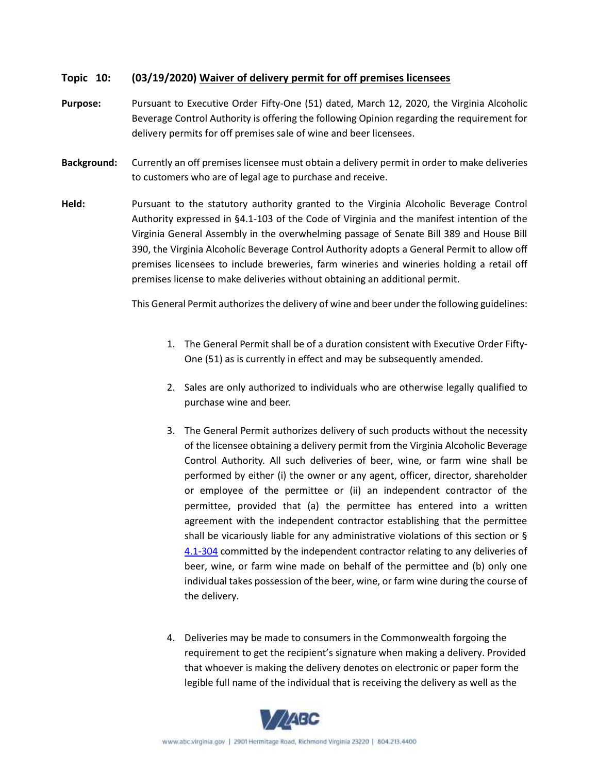#### **Topic 10: (03/19/2020) Waiver of delivery permit for off premises licensees**

- **Purpose:** Pursuant to Executive Order Fifty-One (51) dated, March 12, 2020, the Virginia Alcoholic Beverage Control Authority is offering the following Opinion regarding the requirement for delivery permits for off premises sale of wine and beer licensees.
- **Background:** Currently an off premises licensee must obtain a delivery permit in order to make deliveries to customers who are of legal age to purchase and receive.
- **Held:** Pursuant to the statutory authority granted to the Virginia Alcoholic Beverage Control Authority expressed in §4.1-103 of the Code of Virginia and the manifest intention of the Virginia General Assembly in the overwhelming passage of Senate Bill 389 and House Bill 390, the Virginia Alcoholic Beverage Control Authority adopts a General Permit to allow off premises licensees to include breweries, farm wineries and wineries holding a retail off premises license to make deliveries without obtaining an additional permit.

This General Permit authorizes the delivery of wine and beer under the following guidelines:

- 1. The General Permit shall be of a duration consistent with Executive Order Fifty-One (51) as is currently in effect and may be subsequently amended.
- 2. Sales are only authorized to individuals who are otherwise legally qualified to purchase wine and beer.
- 3. The General Permit authorizes delivery of such products without the necessity of the licensee obtaining a delivery permit from the Virginia Alcoholic Beverage Control Authority. All such deliveries of beer, wine, or farm wine shall be performed by either (i) the owner or any agent, officer, director, shareholder or employee of the permittee or (ii) an independent contractor of the permittee, provided that (a) the permittee has entered into a written agreement with the independent contractor establishing that the permittee shall be vicariously liable for any administrative violations of this section or § [4.1-304](https://law.lis.virginia.gov/vacode/4.1-304/) committed by the independent contractor relating to any deliveries of beer, wine, or farm wine made on behalf of the permittee and (b) only one individual takes possession of the beer, wine, or farm wine during the course of the delivery.
- 4. Deliveries may be made to consumers in the Commonwealth forgoing the requirement to get the recipient's signature when making a delivery. Provided that whoever is making the delivery denotes on electronic or paper form the legible full name of the individual that is receiving the delivery as well as the

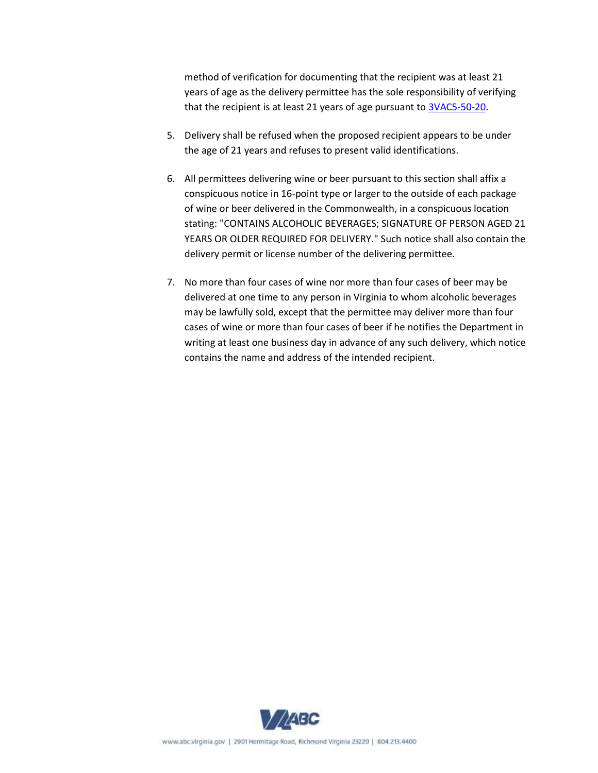method of verification for documenting that the recipient was at least 21 years of age as the delivery permittee has the sole responsibility of verifying that the recipient is at least 21 years of age pursuant t[o 3VAC5-50-20.](https://law.lis.virginia.gov/admincode/title3/agency5/chapter50/section20/)

- 5. Delivery shall be refused when the proposed recipient appears to be under the age of 21 years and refuses to present valid identifications.
- 6. All permittees delivering wine or beer pursuant to this section shall affix a conspicuous notice in 16-point type or larger to the outside of each package of wine or beer delivered in the Commonwealth, in a conspicuous location stating: "CONTAINS ALCOHOLIC BEVERAGES; SIGNATURE OF PERSON AGED 21 YEARS OR OLDER REQUIRED FOR DELIVERY." Such notice shall also contain the delivery permit or license number of the delivering permittee.
- 7. No more than four cases of wine nor more than four cases of beer may be delivered at one time to any person in Virginia to whom alcoholic beverages may be lawfully sold, except that the permittee may deliver more than four cases of wine or more than four cases of beer if he notifies the Department in writing at least one business day in advance of any such delivery, which notice contains the name and address of the intended recipient.

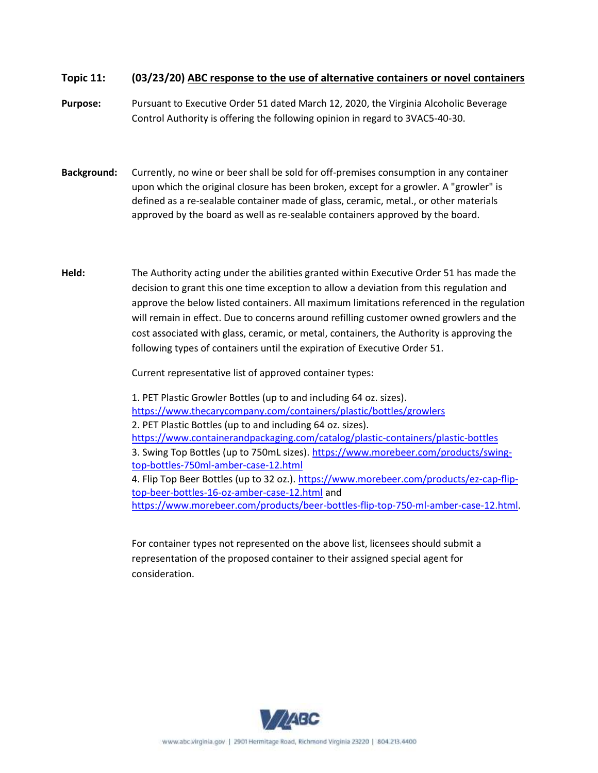#### **Topic 11: (03/23/20) ABC response to the use of alternative containers or novel containers**

**Purpose:** Pursuant to Executive Order 51 dated March 12, 2020, the Virginia Alcoholic Beverage Control Authority is offering the following opinion in regard to 3VAC5-40-30.

- **Background:** Currently, no wine or beer shall be sold for off-premises consumption in any container upon which the original closure has been broken, except for a growler. A "growler" is defined as a re-sealable container made of glass, ceramic, metal., or other materials approved by the board as well as re-sealable containers approved by the board.
- **Held:** The Authority acting under the abilities granted within Executive Order 51 has made the decision to grant this one time exception to allow a deviation from this regulation and approve the below listed containers. All maximum limitations referenced in the regulation will remain in effect. Due to concerns around refilling customer owned growlers and the cost associated with glass, ceramic, or metal, containers, the Authority is approving the following types of containers until the expiration of Executive Order 51.

Current representative list of approved container types:

1. PET Plastic Growler Bottles (up to and including 64 oz. sizes). <https://www.thecarycompany.com/containers/plastic/bottles/growlers> 2. PET Plastic Bottles (up to and including 64 oz. sizes). <https://www.containerandpackaging.com/catalog/plastic-containers/plastic-bottles> 3. Swing Top Bottles (up to 750mL sizes)[. https://www.morebeer.com/products/swing](https://www.morebeer.com/products/swing-top-bottles-750ml-amber-case-12.html)[top-bottles-750ml-amber-case-12.html](https://www.morebeer.com/products/swing-top-bottles-750ml-amber-case-12.html) 4. Flip Top Beer Bottles (up to 32 oz.). [https://www.morebeer.com/products/ez-cap-flip](https://www.morebeer.com/products/ez-cap-flip-top-beer-bottles-16-oz-amber-case-12.html)[top-beer-bottles-16-oz-amber-case-12.html](https://www.morebeer.com/products/ez-cap-flip-top-beer-bottles-16-oz-amber-case-12.html) and [https://www.morebeer.com/products/beer-bottles-flip-top-750-ml-amber-case-12.html.](https://www.morebeer.com/products/beer-bottles-flip-top-750-ml-amber-case-12.html)

For container types not represented on the above list, licensees should submit a representation of the proposed container to their assigned special agent for consideration.

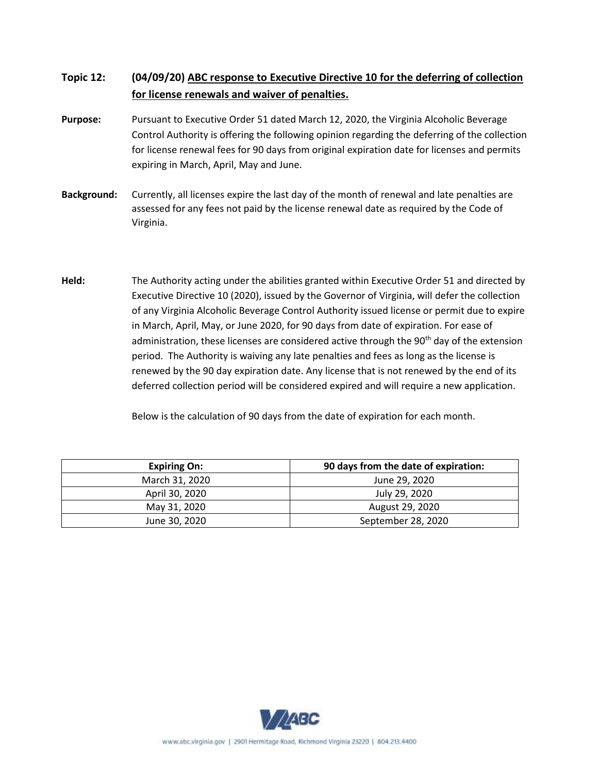## **Topic 12: (04/09/20) ABC response to Executive Directive 10 for the deferring of collection for license renewals and waiver of penalties.**

- **Purpose:** Pursuant to Executive Order 51 dated March 12, 2020, the Virginia Alcoholic Beverage Control Authority is offering the following opinion regarding the deferring of the collection for license renewal fees for 90 days from original expiration date for licenses and permits expiring in March, April, May and June.
- **Background:** Currently, all licenses expire the last day of the month of renewal and late penalties are assessed for any fees not paid by the license renewal date as required by the Code of Virginia.
- **Held:** The Authority acting under the abilities granted within Executive Order 51 and directed by Executive Directive 10 (2020), issued by the Governor of Virginia, will defer the collection of any Virginia Alcoholic Beverage Control Authority issued license or permit due to expire in March, April, May, or June 2020, for 90 days from date of expiration. For ease of administration, these licenses are considered active through the 90<sup>th</sup> day of the extension period. The Authority is waiving any late penalties and fees as long as the license is renewed by the 90 day expiration date. Any license that is not renewed by the end of its deferred collection period will be considered expired and will require a new application.

Below is the calculation of 90 days from the date of expiration for each month.

| <b>Expiring On:</b> | 90 days from the date of expiration: |  |
|---------------------|--------------------------------------|--|
| March 31, 2020      | June 29, 2020                        |  |
| April 30, 2020      | July 29, 2020                        |  |
| May 31, 2020        | August 29, 2020                      |  |
| June 30, 2020       | September 28, 2020                   |  |

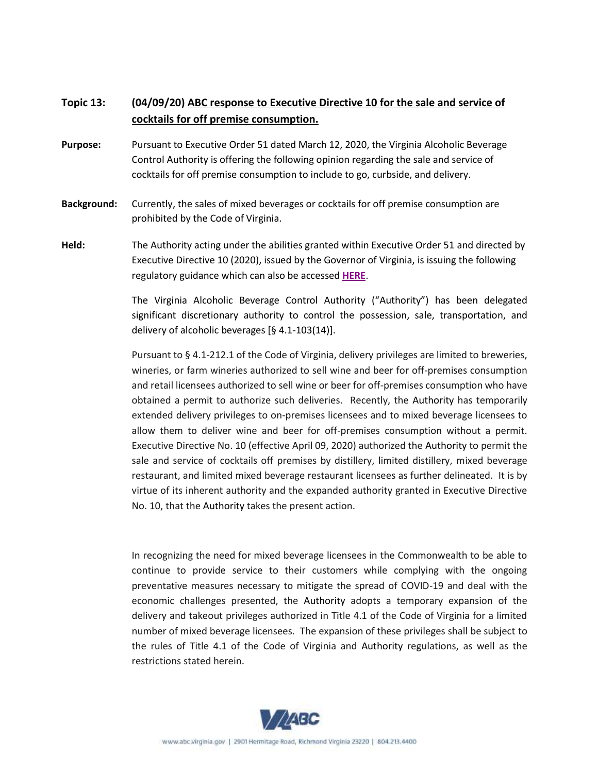## **Topic 13: (04/09/20) ABC response to Executive Directive 10 for the sale and service of cocktails for off premise consumption.**

- **Purpose:** Pursuant to Executive Order 51 dated March 12, 2020, the Virginia Alcoholic Beverage Control Authority is offering the following opinion regarding the sale and service of cocktails for off premise consumption to include to go, curbside, and delivery.
- **Background:** Currently, the sales of mixed beverages or cocktails for off premise consumption are prohibited by the Code of Virginia.
- **Held:** The Authority acting under the abilities granted within Executive Order 51 and directed by Executive Directive 10 (2020), issued by the Governor of Virginia, is issuing the following regulatory guidance which can also be accessed **[HERE](http://abc.virginia.gov/library/COVID19/Mixed-Beverage-OffPremise-regulatory-guidance-4-7-20)**.

The Virginia Alcoholic Beverage Control Authority ("Authority") has been delegated significant discretionary authority to control the possession, sale, transportation, and delivery of alcoholic beverages [§ 4.1-103(14)].

Pursuant to § 4.1-212.1 of the Code of Virginia, delivery privileges are limited to breweries, wineries, or farm wineries authorized to sell wine and beer for off-premises consumption and retail licensees authorized to sell wine or beer for off-premises consumption who have obtained a permit to authorize such deliveries. Recently, the Authority has temporarily extended delivery privileges to on-premises licensees and to mixed beverage licensees to allow them to deliver wine and beer for off-premises consumption without a permit. Executive Directive No. 10 (effective April 09, 2020) authorized the Authority to permit the sale and service of cocktails off premises by distillery, limited distillery, mixed beverage restaurant, and limited mixed beverage restaurant licensees as further delineated. It is by virtue of its inherent authority and the expanded authority granted in Executive Directive No. 10, that the Authority takes the present action.

In recognizing the need for mixed beverage licensees in the Commonwealth to be able to continue to provide service to their customers while complying with the ongoing preventative measures necessary to mitigate the spread of COVID-19 and deal with the economic challenges presented, the Authority adopts a temporary expansion of the delivery and takeout privileges authorized in Title 4.1 of the Code of Virginia for a limited number of mixed beverage licensees. The expansion of these privileges shall be subject to the rules of Title 4.1 of the Code of Virginia and Authority regulations, as well as the restrictions stated herein.

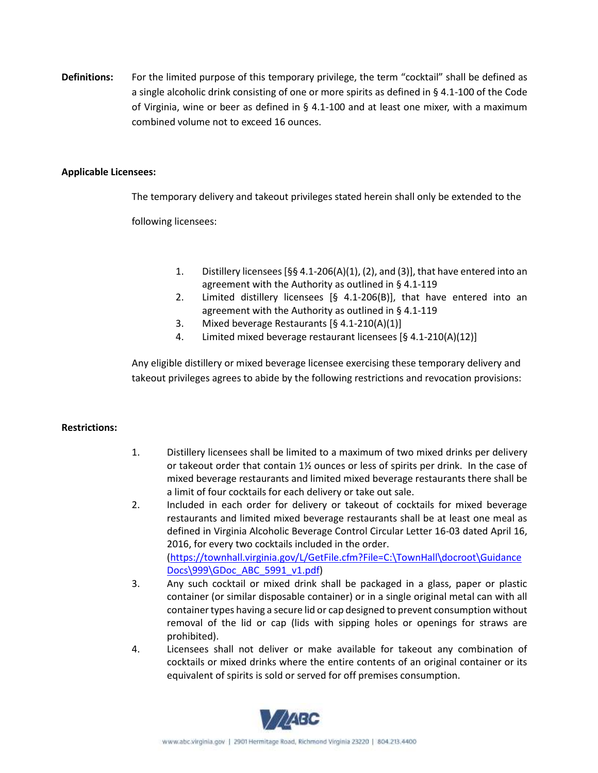**Definitions:** For the limited purpose of this temporary privilege, the term "cocktail" shall be defined as a single alcoholic drink consisting of one or more spirits as defined in § 4.1-100 of the Code of Virginia, wine or beer as defined in § 4.1-100 and at least one mixer, with a maximum combined volume not to exceed 16 ounces.

#### **Applicable Licensees:**

The temporary delivery and takeout privileges stated herein shall only be extended to the

following licensees:

- 1. Distillery licensees [§§ 4.1-206(A)(1), (2), and (3)], that have entered into an agreement with the Authority as outlined in § 4.1-119
- 2. Limited distillery licensees [§ 4.1-206(B)], that have entered into an agreement with the Authority as outlined in § 4.1-119
- 3. Mixed beverage Restaurants [§ 4.1-210(A)(1)]
- 4. Limited mixed beverage restaurant licensees [§ 4.1-210(A)(12)]

Any eligible distillery or mixed beverage licensee exercising these temporary delivery and takeout privileges agrees to abide by the following restrictions and revocation provisions:

#### **Restrictions:**

- 1. Distillery licensees shall be limited to a maximum of two mixed drinks per delivery or takeout order that contain  $1\frac{1}{2}$  ounces or less of spirits per drink. In the case of mixed beverage restaurants and limited mixed beverage restaurants there shall be a limit of four cocktails for each delivery or take out sale.
- 2. Included in each order for delivery or takeout of cocktails for mixed beverage restaurants and limited mixed beverage restaurants shall be at least one meal as defined in Virginia Alcoholic Beverage Control Circular Letter 16-03 dated April 16, 2016, for every two cocktails included in the order. [\(https://townhall.virginia.gov/L/GetFile.cfm?File=C:\TownHall\docroot\Guidance](https://townhall.virginia.gov/L/GetFile.cfm?File=C:/TownHall/docroot/GuidanceDocs/999/GDoc_ABC_5991_v1.pdf) [Docs\999\GDoc\\_ABC\\_5991\\_v1.pdf\)](https://townhall.virginia.gov/L/GetFile.cfm?File=C:/TownHall/docroot/GuidanceDocs/999/GDoc_ABC_5991_v1.pdf)
- 3. Any such cocktail or mixed drink shall be packaged in a glass, paper or plastic container (or similar disposable container) or in a single original metal can with all container types having a secure lid or cap designed to prevent consumption without removal of the lid or cap (lids with sipping holes or openings for straws are prohibited).
- 4. Licensees shall not deliver or make available for takeout any combination of cocktails or mixed drinks where the entire contents of an original container or its equivalent of spirits is sold or served for off premises consumption.

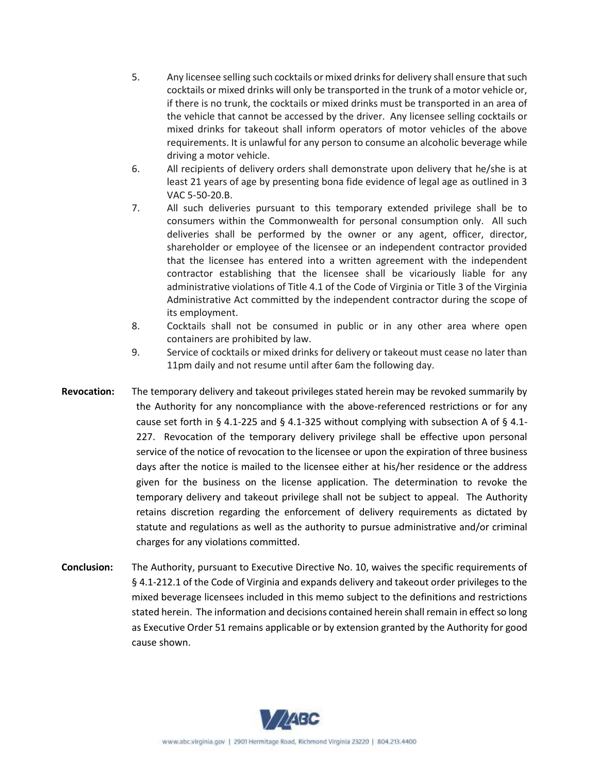- 5. Any licensee selling such cocktails or mixed drinks for delivery shall ensure that such cocktails or mixed drinks will only be transported in the trunk of a motor vehicle or, if there is no trunk, the cocktails or mixed drinks must be transported in an area of the vehicle that cannot be accessed by the driver. Any licensee selling cocktails or mixed drinks for takeout shall inform operators of motor vehicles of the above requirements. It is unlawful for any person to consume an alcoholic beverage while driving a motor vehicle.
- 6. All recipients of delivery orders shall demonstrate upon delivery that he/she is at least 21 years of age by presenting bona fide evidence of legal age as outlined in 3 VAC 5-50-20.B.
- 7. All such deliveries pursuant to this temporary extended privilege shall be to consumers within the Commonwealth for personal consumption only. All such deliveries shall be performed by the owner or any agent, officer, director, shareholder or employee of the licensee or an independent contractor provided that the licensee has entered into a written agreement with the independent contractor establishing that the licensee shall be vicariously liable for any administrative violations of Title 4.1 of the Code of Virginia or Title 3 of the Virginia Administrative Act committed by the independent contractor during the scope of its employment.
- 8. Cocktails shall not be consumed in public or in any other area where open containers are prohibited by law.
- 9. Service of cocktails or mixed drinks for delivery or takeout must cease no later than 11pm daily and not resume until after 6am the following day.
- **Revocation:** The temporary delivery and takeout privileges stated herein may be revoked summarily by the Authority for any noncompliance with the above-referenced restrictions or for any cause set forth in § 4.1-225 and § 4.1-325 without complying with subsection A of § 4.1-227. Revocation of the temporary delivery privilege shall be effective upon personal service of the notice of revocation to the licensee or upon the expiration of three business days after the notice is mailed to the licensee either at his/her residence or the address given for the business on the license application. The determination to revoke the temporary delivery and takeout privilege shall not be subject to appeal. The Authority retains discretion regarding the enforcement of delivery requirements as dictated by statute and regulations as well as the authority to pursue administrative and/or criminal charges for any violations committed.
- **Conclusion:** The Authority, pursuant to Executive Directive No. 10, waives the specific requirements of § 4.1-212.1 of the Code of Virginia and expands delivery and takeout order privileges to the mixed beverage licensees included in this memo subject to the definitions and restrictions stated herein. The information and decisions contained herein shall remain in effect so long as Executive Order 51 remains applicable or by extension granted by the Authority for good cause shown.

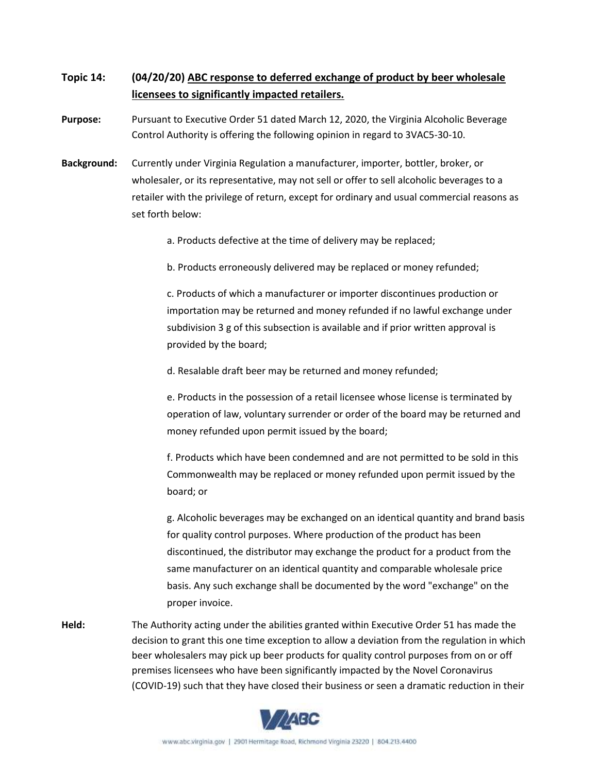## **Topic 14: (04/20/20) ABC response to deferred exchange of product by beer wholesale licensees to significantly impacted retailers.**

**Purpose:** Pursuant to Executive Order 51 dated March 12, 2020, the Virginia Alcoholic Beverage Control Authority is offering the following opinion in regard to 3VAC5-30-10.

**Background:** Currently under Virginia Regulation a manufacturer, importer, bottler, broker, or wholesaler, or its representative, may not sell or offer to sell alcoholic beverages to a retailer with the privilege of return, except for ordinary and usual commercial reasons as set forth below:

a. Products defective at the time of delivery may be replaced;

b. Products erroneously delivered may be replaced or money refunded;

c. Products of which a manufacturer or importer discontinues production or importation may be returned and money refunded if no lawful exchange under subdivision 3 g of this subsection is available and if prior written approval is provided by the board;

d. Resalable draft beer may be returned and money refunded;

e. Products in the possession of a retail licensee whose license is terminated by operation of law, voluntary surrender or order of the board may be returned and money refunded upon permit issued by the board;

f. Products which have been condemned and are not permitted to be sold in this Commonwealth may be replaced or money refunded upon permit issued by the board; or

g. Alcoholic beverages may be exchanged on an identical quantity and brand basis for quality control purposes. Where production of the product has been discontinued, the distributor may exchange the product for a product from the same manufacturer on an identical quantity and comparable wholesale price basis. Any such exchange shall be documented by the word "exchange" on the proper invoice.

**Held:** The Authority acting under the abilities granted within Executive Order 51 has made the decision to grant this one time exception to allow a deviation from the regulation in which beer wholesalers may pick up beer products for quality control purposes from on or off premises licensees who have been significantly impacted by the Novel Coronavirus (COVID-19) such that they have closed their business or seen a dramatic reduction in their

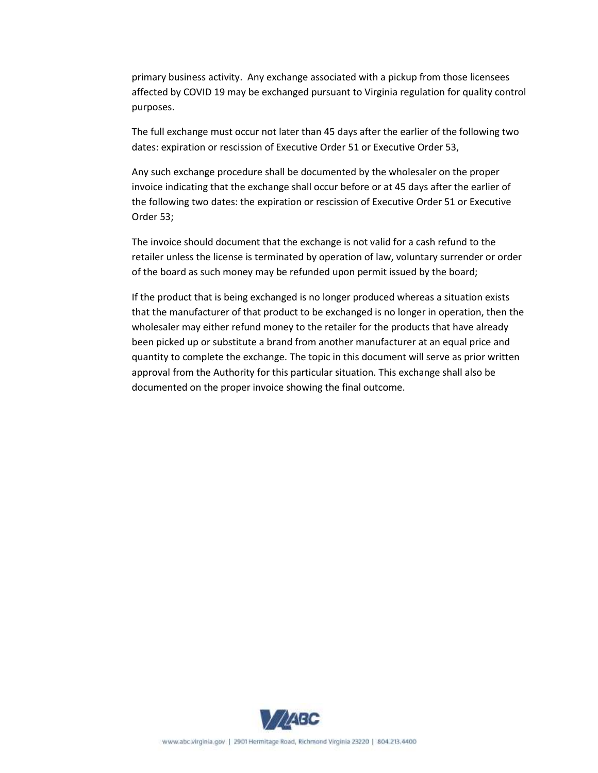primary business activity. Any exchange associated with a pickup from those licensees affected by COVID 19 may be exchanged pursuant to Virginia regulation for quality control purposes.

The full exchange must occur not later than 45 days after the earlier of the following two dates: expiration or rescission of Executive Order 51 or Executive Order 53,

Any such exchange procedure shall be documented by the wholesaler on the proper invoice indicating that the exchange shall occur before or at 45 days after the earlier of the following two dates: the expiration or rescission of Executive Order 51 or Executive Order 53;

The invoice should document that the exchange is not valid for a cash refund to the retailer unless the license is terminated by operation of law, voluntary surrender or order of the board as such money may be refunded upon permit issued by the board;

If the product that is being exchanged is no longer produced whereas a situation exists that the manufacturer of that product to be exchanged is no longer in operation, then the wholesaler may either refund money to the retailer for the products that have already been picked up or substitute a brand from another manufacturer at an equal price and quantity to complete the exchange. The topic in this document will serve as prior written approval from the Authority for this particular situation. This exchange shall also be documented on the proper invoice showing the final outcome.

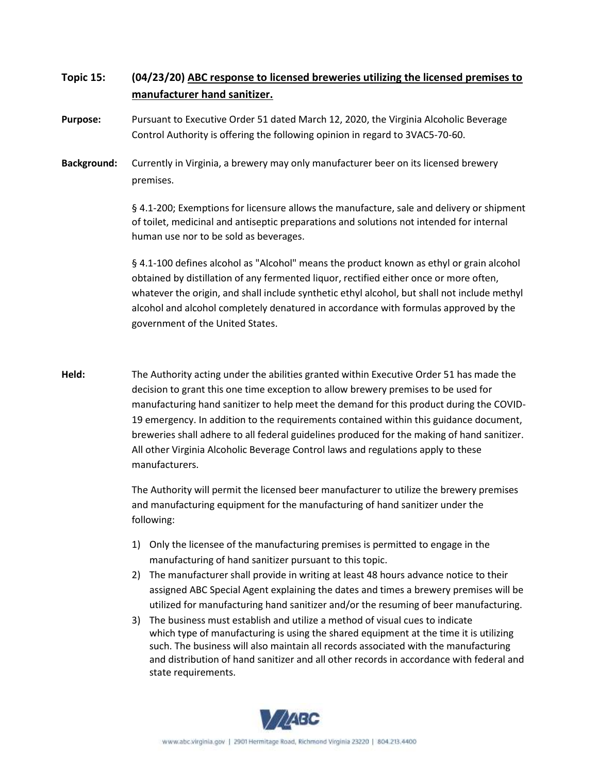## **Topic 15: (04/23/20) ABC response to licensed breweries utilizing the licensed premises to manufacturer hand sanitizer.**

**Purpose:** Pursuant to Executive Order 51 dated March 12, 2020, the Virginia Alcoholic Beverage Control Authority is offering the following opinion in regard to 3VAC5-70-60.

**Background:** Currently in Virginia, a brewery may only manufacturer beer on its licensed brewery premises.

> § 4.1-200; Exemptions for licensure allows the manufacture, sale and delivery or shipment of toilet, medicinal and antiseptic preparations and solutions not intended for internal human use nor to be sold as beverages.

> § 4.1-100 defines alcohol as "Alcohol" means the product known as ethyl or grain alcohol obtained by distillation of any fermented liquor, rectified either once or more often, whatever the origin, and shall include synthetic ethyl alcohol, but shall not include methyl alcohol and alcohol completely denatured in accordance with formulas approved by the government of the United States.

**Held:** The Authority acting under the abilities granted within Executive Order 51 has made the decision to grant this one time exception to allow brewery premises to be used for manufacturing hand sanitizer to help meet the demand for this product during the COVID-19 emergency. In addition to the requirements contained within this guidance document, breweries shall adhere to all federal guidelines produced for the making of hand sanitizer. All other Virginia Alcoholic Beverage Control laws and regulations apply to these manufacturers.

> The Authority will permit the licensed beer manufacturer to utilize the brewery premises and manufacturing equipment for the manufacturing of hand sanitizer under the following:

- 1) Only the licensee of the manufacturing premises is permitted to engage in the manufacturing of hand sanitizer pursuant to this topic.
- 2) The manufacturer shall provide in writing at least 48 hours advance notice to their assigned ABC Special Agent explaining the dates and times a brewery premises will be utilized for manufacturing hand sanitizer and/or the resuming of beer manufacturing.
- 3) The business must establish and utilize a method of visual cues to indicate which type of manufacturing is using the shared equipment at the time it is utilizing such. The business will also maintain all records associated with the manufacturing and distribution of hand sanitizer and all other records in accordance with federal and state requirements.

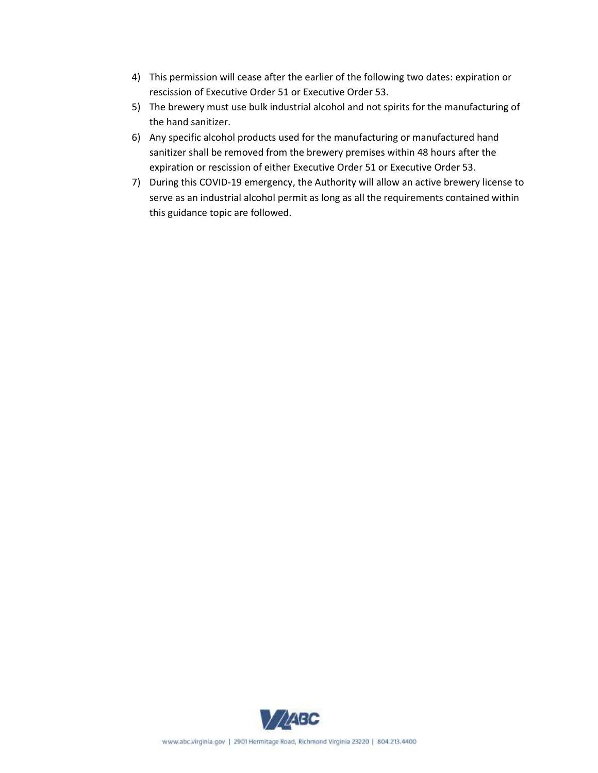- 4) This permission will cease after the earlier of the following two dates: expiration or rescission of Executive Order 51 or Executive Order 53.
- 5) The brewery must use bulk industrial alcohol and not spirits for the manufacturing of the hand sanitizer.
- 6) Any specific alcohol products used for the manufacturing or manufactured hand sanitizer shall be removed from the brewery premises within 48 hours after the expiration or rescission of either Executive Order 51 or Executive Order 53.
- 7) During this COVID-19 emergency, the Authority will allow an active brewery license to serve as an industrial alcohol permit as long as all the requirements contained within this guidance topic are followed.

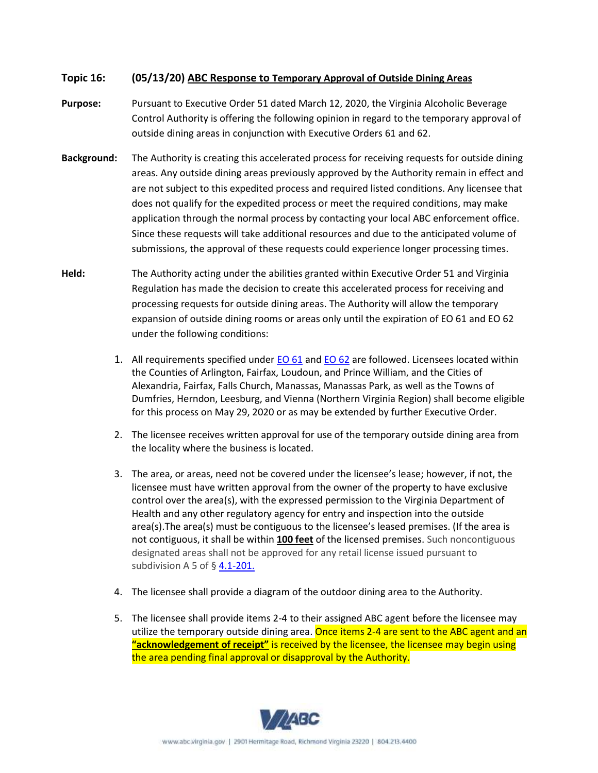#### **Topic 16: (05/13/20) ABC Response to Temporary Approval of Outside Dining Areas**

- **Purpose:** Pursuant to Executive Order 51 dated March 12, 2020, the Virginia Alcoholic Beverage Control Authority is offering the following opinion in regard to the temporary approval of outside dining areas in conjunction with Executive Orders 61 and 62.
- **Background:** The Authority is creating this accelerated process for receiving requests for outside dining areas. Any outside dining areas previously approved by the Authority remain in effect and are not subject to this expedited process and required listed conditions. Any licensee that does not qualify for the expedited process or meet the required conditions, may make application through the normal process by contacting your local ABC enforcement office. Since these requests will take additional resources and due to the anticipated volume of submissions, the approval of these requests could experience longer processing times.
- **Held:** The Authority acting under the abilities granted within Executive Order 51 and Virginia Regulation has made the decision to create this accelerated process for receiving and processing requests for outside dining areas. The Authority will allow the temporary expansion of outside dining rooms or areas only until the expiration of EO 61 and EO 62 under the following conditions:
	- 1. All requirements specified under **EO 61** and **EO 62** are followed. Licensees located within the Counties of Arlington, Fairfax, Loudoun, and Prince William, and the Cities of Alexandria, Fairfax, Falls Church, Manassas, Manassas Park, as well as the Towns of Dumfries, Herndon, Leesburg, and Vienna (Northern Virginia Region) shall become eligible for this process on May 29, 2020 or as may be extended by further Executive Order.
	- 2. The licensee receives written approval for use of the temporary outside dining area from the locality where the business is located.
	- 3. The area, or areas, need not be covered under the licensee's lease; however, if not, the licensee must have written approval from the owner of the property to have exclusive control over the area(s), with the expressed permission to the Virginia Department of Health and any other regulatory agency for entry and inspection into the outside area(s).The area(s) must be contiguous to the licensee's leased premises. (If the area is not contiguous, it shall be within **100 feet** of the licensed premises. Such noncontiguous designated areas shall not be approved for any retail license issued pursuant to subdivision A 5 of § [4.1-201.](https://law.lis.virginia.gov/vacode/4.1-201/)
	- 4. The licensee shall provide a diagram of the outdoor dining area to the Authority.
	- 5. The licensee shall provide items 2-4 to their assigned ABC agent before the licensee may utilize the temporary outside dining area. Once items 2-4 are sent to the ABC agent and an **"acknowledgement of receipt"** is received by the licensee, the licensee may begin using the area pending final approval or disapproval by the Authority.